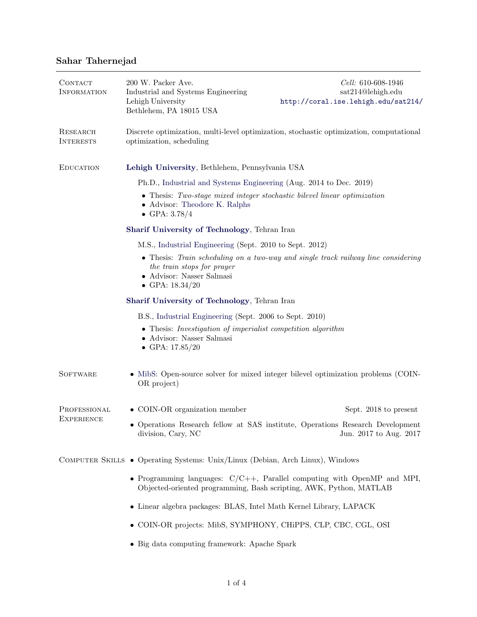## Sahar Tahernejad

| CONTACT<br><b>INFORMATION</b>     | 200 W. Packer Ave.<br>Industrial and Systems Engineering<br>Lehigh University<br>Bethlehem, PA 18015 USA                                                                  | Cell: 610-608-1946<br>sat214@lehigh.edu<br>http://coral.ise.lehigh.edu/sat214/                         |  |  |
|-----------------------------------|---------------------------------------------------------------------------------------------------------------------------------------------------------------------------|--------------------------------------------------------------------------------------------------------|--|--|
| RESEARCH<br><b>INTERESTS</b>      | Discrete optimization, multi-level optimization, stochastic optimization, computational<br>optimization, scheduling                                                       |                                                                                                        |  |  |
| <b>EDUCATION</b>                  | Lehigh University, Bethlehem, Pennsylvania USA                                                                                                                            |                                                                                                        |  |  |
|                                   | Ph.D., Industrial and Systems Engineering (Aug. 2014 to Dec. 2019)                                                                                                        |                                                                                                        |  |  |
|                                   | • Thesis: Two-stage mixed integer stochastic bilevel linear optimization<br>• Advisor: Theodore K. Ralphs<br>• GPA: $3.78/4$                                              |                                                                                                        |  |  |
|                                   | Sharif University of Technology, Tehran Iran                                                                                                                              |                                                                                                        |  |  |
|                                   | M.S., Industrial Engineering (Sept. 2010 to Sept. 2012)                                                                                                                   |                                                                                                        |  |  |
|                                   | • Thesis: Train scheduling on a two-way and single track railway line considering<br>the train stops for prayer<br>• Advisor: Nasser Salmasi<br>• GPA: $18.34/20$         |                                                                                                        |  |  |
|                                   | Sharif University of Technology, Tehran Iran                                                                                                                              |                                                                                                        |  |  |
|                                   | B.S., Industrial Engineering (Sept. 2006 to Sept. 2010)<br>• Thesis: Investigation of imperialist competition algorithm<br>• Advisor: Nasser Salmasi<br>• GPA: $17.85/20$ |                                                                                                        |  |  |
| <b>SOFTWARE</b>                   | OR project)                                                                                                                                                               | • MibS: Open-source solver for mixed integer bilevel optimization problems (COIN-                      |  |  |
| PROFESSIONAL<br><b>EXPERIENCE</b> | $\bullet$ COIN-OR organization member                                                                                                                                     | Sept. 2018 to present                                                                                  |  |  |
|                                   | division, Cary, NC                                                                                                                                                        | Operations Research fellow at SAS institute, Operations Research Development<br>Jun. 2017 to Aug. 2017 |  |  |
|                                   | COMPUTER SKILLS • Operating Systems: Unix/Linux (Debian, Arch Linux), Windows                                                                                             |                                                                                                        |  |  |
|                                   | • Programming languages: $C/C++$ , Parallel computing with OpenMP and MPI,<br>Objected-oriented programming, Bash scripting, AWK, Python, MATLAB                          |                                                                                                        |  |  |
|                                   | • Linear algebra packages: BLAS, Intel Math Kernel Library, LAPACK                                                                                                        |                                                                                                        |  |  |
|                                   | • COIN-OR projects: MibS, SYMPHONY, CHiPPS, CLP, CBC, CGL, OSI                                                                                                            |                                                                                                        |  |  |
|                                   | • Big data computing framework: Apache Spark                                                                                                                              |                                                                                                        |  |  |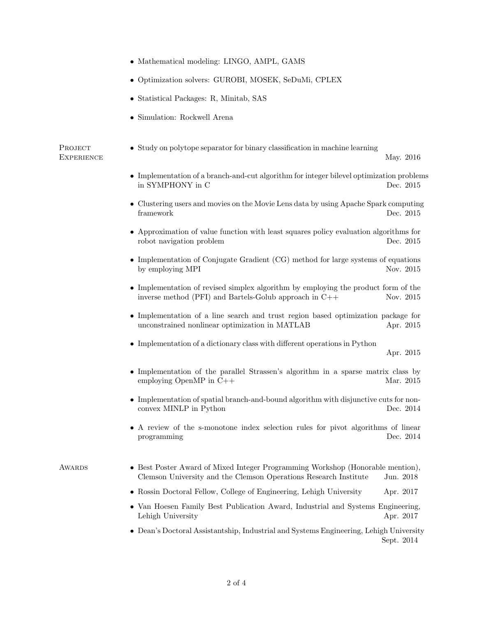- Mathematical modeling: LINGO, AMPL, GAMS
- Optimization solvers: GUROBI, MOSEK, SeDuMi, CPLEX
- Statistical Packages: R, Minitab, SAS
- Simulation: Rockwell Arena

PROJECT **EXPERIENCE** 

• Study on polytope separator for binary classification in machine learning

May. 2016

- Implementation of a branch-and-cut algorithm for integer bilevel optimization problems in SYMPHONY in C Dec. 2015
- Clustering users and movies on the Movie Lens data by using Apache Spark computing framework Dec. 2015
- Approximation of value function with least squares policy evaluation algorithms for robot navigation problem Dec. 2015
- Implementation of Conjugate Gradient (CG) method for large systems of equations by employing MPI Nov. 2015
- Implementation of revised simplex algorithm by employing the product form of the inverse method (PFI) and Bartels-Golub approach in C++ Nov. 2015
- Implementation of a line search and trust region based optimization package for unconstrained nonlinear optimization in MATLAB Apr. 2015
- $\bullet$  Implementation of a dictionary class with different operations in Python

Apr. 2015

- Implementation of the parallel Strassen's algorithm in a sparse matrix class by employing OpenMP in C++ Mar. 2015
- Implementation of spatial branch-and-bound algorithm with disjunctive cuts for nonconvex MINLP in Python Dec. 2014
- A review of the s-monotone index selection rules for pivot algorithms of linear programming Dec. 2014
- Awards Best Poster Award of Mixed Integer Programming Workshop (Honorable mention), Clemson University and the Clemson Operations Research Institute Jun. 2018
	- Rossin Doctoral Fellow, College of Engineering, Lehigh University Apr. 2017
	- Van Hoesen Family Best Publication Award, Industrial and Systems Engineering, Lehigh University  $\Delta$ pr. 2017
	- Dean's Doctoral Assistantship, Industrial and Systems Engineering, Lehigh University Sept. 2014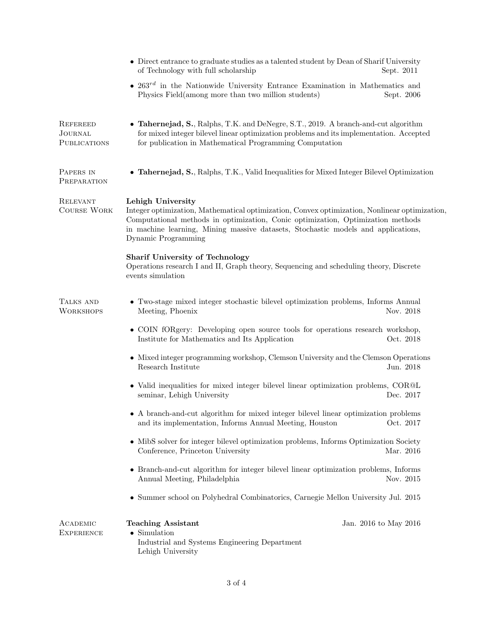|                                                   | • Direct entrance to graduate studies as a talented student by Dean of Sharif University<br>of Technology with full scholarship                                                                                                                                                                                   | Sept. 2011 |  |
|---------------------------------------------------|-------------------------------------------------------------------------------------------------------------------------------------------------------------------------------------------------------------------------------------------------------------------------------------------------------------------|------------|--|
|                                                   | • $263^{rd}$ in the Nationwide University Entrance Examination in Mathematics and<br>Physics Field (among more than two million students)                                                                                                                                                                         | Sept. 2006 |  |
| REFEREED<br><b>JOURNAL</b><br><b>PUBLICATIONS</b> | • Tahernejad, S., Ralphs, T.K. and DeNegre, S.T., 2019. A branch-and-cut algorithm<br>for mixed integer bilevel linear optimization problems and its implementation. Accepted<br>for publication in Mathematical Programming Computation                                                                          |            |  |
| PAPERS IN<br>PREPARATION                          | • Tahernejad, S., Ralphs, T.K., Valid Inequalities for Mixed Integer Bilevel Optimization                                                                                                                                                                                                                         |            |  |
| <b>RELEVANT</b><br><b>COURSE WORK</b>             | Lehigh University<br>Integer optimization, Mathematical optimization, Convex optimization, Nonlinear optimization,<br>Computational methods in optimization, Conic optimization, Optimization methods<br>in machine learning, Mining massive datasets, Stochastic models and applications,<br>Dynamic Programming |            |  |
|                                                   | <b>Sharif University of Technology</b><br>Operations research I and II, Graph theory, Sequencing and scheduling theory, Discrete<br>events simulation                                                                                                                                                             |            |  |
| TALKS AND<br><b>WORKSHOPS</b>                     | • Two-stage mixed integer stochastic bilevel optimization problems, Informs Annual<br>Meeting, Phoenix                                                                                                                                                                                                            | Nov. 2018  |  |
|                                                   | • COIN fORgery: Developing open source tools for operations research workshop,<br>Institute for Mathematics and Its Application                                                                                                                                                                                   | Oct. 2018  |  |
|                                                   | • Mixed integer programming workshop, Clemson University and the Clemson Operations<br>Research Institute                                                                                                                                                                                                         | Jun. 2018  |  |
|                                                   | • Valid inequalities for mixed integer bilevel linear optimization problems, COR@L<br>seminar, Lehigh University                                                                                                                                                                                                  | Dec. 2017  |  |
|                                                   | • A branch-and-cut algorithm for mixed integer bilevel linear optimization problems<br>and its implementation, Informs Annual Meeting, Houston<br>Oct. 2017                                                                                                                                                       |            |  |
|                                                   | • MibS solver for integer bilevel optimization problems, Informs Optimization Society<br>Conference, Princeton University                                                                                                                                                                                         | Mar. 2016  |  |
|                                                   | • Branch-and-cut algorithm for integer bilevel linear optimization problems, Informs<br>Annual Meeting, Philadelphia<br>Nov. 2015                                                                                                                                                                                 |            |  |
|                                                   | Summer school on Polyhedral Combinatorics, Carnegie Mellon University Jul. 2015                                                                                                                                                                                                                                   |            |  |
| ACADEMIC<br><b>EXPERIENCE</b>                     | <b>Teaching Assistant</b><br>Jan. 2016 to May 2016<br>$\bullet$ Simulation<br>Industrial and Systems Engineering Department<br>Lehigh University                                                                                                                                                                  |            |  |